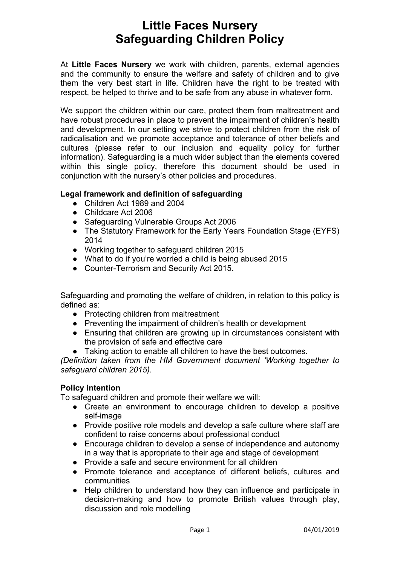# **Little Faces Nursery Safeguarding Children Policy**

At **Little Faces Nursery** we work with children, parents, external agencies and the community to ensure the welfare and safety of children and to give them the very best start in life. Children have the right to be treated with respect, be helped to thrive and to be safe from any abuse in whatever form.

We support the children within our care, protect them from maltreatment and have robust procedures in place to prevent the impairment of children's health and development. In our setting we strive to protect children from the risk of radicalisation and we promote acceptance and tolerance of other beliefs and cultures (please refer to our inclusion and equality policy for further information). Safeguarding is a much wider subject than the elements covered within this single policy, therefore this document should be used in conjunction with the nursery's other policies and procedures.

# **Legal framework and definition of safeguarding**

- Children Act 1989 and 2004
- Childcare Act 2006
- Safeguarding Vulnerable Groups Act 2006
- The Statutory Framework for the Early Years Foundation Stage (EYFS) 2014
- Working together to safeguard children 2015
- What to do if you're worried a child is being abused 2015
- Counter-Terrorism and Security Act 2015.

Safeguarding and promoting the welfare of children, in relation to this policy is defined as:

- Protecting children from maltreatment
- Preventing the impairment of children's health or development
- Ensuring that children are growing up in circumstances consistent with the provision of safe and effective care
- Taking action to enable all children to have the best outcomes.

*(Definition taken from the HM Government document 'Working together to safeguard children 2015).*

# **Policy intention**

To safeguard children and promote their welfare we will:

- Create an environment to encourage children to develop a positive self-image
- Provide positive role models and develop a safe culture where staff are confident to raise concerns about professional conduct
- Encourage children to develop a sense of independence and autonomy in a way that is appropriate to their age and stage of development
- Provide a safe and secure environment for all children
- Promote tolerance and acceptance of different beliefs, cultures and communities
- Help children to understand how they can influence and participate in decision-making and how to promote British values through play, discussion and role modelling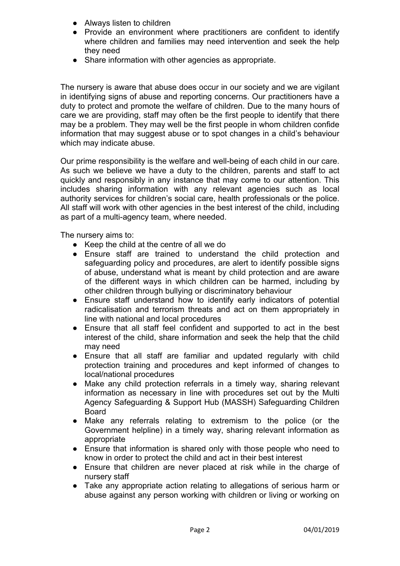- **Always listen to children**
- Provide an environment where practitioners are confident to identify where children and families may need intervention and seek the help they need
- Share information with other agencies as appropriate.

The nursery is aware that abuse does occur in our society and we are vigilant in identifying signs of abuse and reporting concerns. Our practitioners have a duty to protect and promote the welfare of children. Due to the many hours of care we are providing, staff may often be the first people to identify that there may be a problem. They may well be the first people in whom children confide information that may suggest abuse or to spot changes in a child's behaviour which may indicate abuse.

Our prime responsibility is the welfare and well-being of each child in our care. As such we believe we have a duty to the children, parents and staff to act quickly and responsibly in any instance that may come to our attention. This includes sharing information with any relevant agencies such as local authority services for children's social care, health professionals or the police. All staff will work with other agencies in the best interest of the child, including as part of a multi-agency team, where needed.

The nursery aims to:

- Keep the child at the centre of all we do
- Ensure staff are trained to understand the child protection and safeguarding policy and procedures, are alert to identify possible signs of abuse, understand what is meant by child protection and are aware of the different ways in which children can be harmed, including by other children through bullying or discriminatory behaviour
- Ensure staff understand how to identify early indicators of potential radicalisation and terrorism threats and act on them appropriately in line with national and local procedures
- Ensure that all staff feel confident and supported to act in the best interest of the child, share information and seek the help that the child may need
- Ensure that all staff are familiar and updated regularly with child protection training and procedures and kept informed of changes to local/national procedures
- Make any child protection referrals in a timely way, sharing relevant information as necessary in line with procedures set out by the Multi Agency Safeguarding & Support Hub (MASSH) Safeguarding Children Board
- Make any referrals relating to extremism to the police (or the Government helpline) in a timely way, sharing relevant information as appropriate
- Ensure that information is shared only with those people who need to know in order to protect the child and act in their best interest
- Ensure that children are never placed at risk while in the charge of nursery staff
- Take any appropriate action relating to allegations of serious harm or abuse against any person working with children or living or working on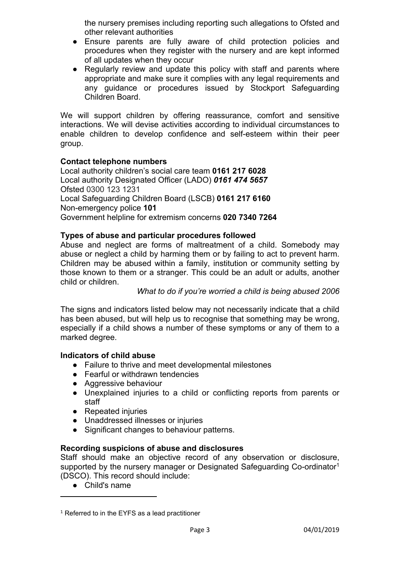the nursery premises including reporting such allegations to Ofsted and other relevant authorities

- Ensure parents are fully aware of child protection policies and procedures when they register with the nursery and are kept informed of all updates when they occur
- Regularly review and update this policy with staff and parents where appropriate and make sure it complies with any legal requirements and any guidance or procedures issued by Stockport Safeguarding Children Board.

We will support children by offering reassurance, comfort and sensitive interactions. We will devise activities according to individual circumstances to enable children to develop confidence and self-esteem within their peer group.

# **Contact telephone numbers**

Local authority children's social care team **0161 217 6028** Local authority Designated Officer (LADO) *0161 474 5657* Ofsted 0300 123 1231 Local Safeguarding Children Board (LSCB) **0161 217 6160**  Non-emergency police **101**  Government helpline for extremism concerns **020 7340 7264**

## **Types of abuse and particular procedures followed**

Abuse and neglect are forms of maltreatment of a child. Somebody may abuse or neglect a child by harming them or by failing to act to prevent harm. Children may be abused within a family, institution or community setting by those known to them or a stranger. This could be an adult or adults, another child or children.

*What to do if you're worried a child is being abused 2006*

The signs and indicators listed below may not necessarily indicate that a child has been abused, but will help us to recognise that something may be wrong, especially if a child shows a number of these symptoms or any of them to a marked degree.

## **Indicators of child abuse**

- Failure to thrive and meet developmental milestones
- Fearful or withdrawn tendencies
- Aggressive behaviour
- Unexplained injuries to a child or conflicting reports from parents or staff
- Repeated injuries
- Unaddressed illnesses or injuries
- Significant changes to behaviour patterns.

## **Recording suspicions of abuse and disclosures**

Staff should make an objective record of any observation or disclosure, supported by the nursery manager or Designated Safeguarding Co-ordinator<sup>1</sup> (DSCO). This record should include:

● Child's name

<sup>&</sup>lt;sup>1</sup> Referred to in the EYFS as a lead practitioner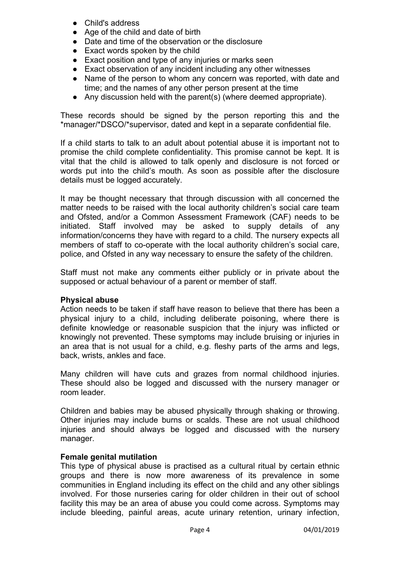- Child's address
- Age of the child and date of birth
- Date and time of the observation or the disclosure
- Exact words spoken by the child
- Exact position and type of any injuries or marks seen
- Exact observation of any incident including any other witnesses
- Name of the person to whom any concern was reported, with date and time; and the names of any other person present at the time
- Any discussion held with the parent(s) (where deemed appropriate).

These records should be signed by the person reporting this and the \*manager/\*DSCO/\*supervisor, dated and kept in a separate confidential file.

If a child starts to talk to an adult about potential abuse it is important not to promise the child complete confidentiality. This promise cannot be kept. It is vital that the child is allowed to talk openly and disclosure is not forced or words put into the child's mouth. As soon as possible after the disclosure details must be logged accurately.

It may be thought necessary that through discussion with all concerned the matter needs to be raised with the local authority children's social care team and Ofsted, and/or a Common Assessment Framework (CAF) needs to be initiated. Staff involved may be asked to supply details of any information/concerns they have with regard to a child. The nursery expects all members of staff to co-operate with the local authority children's social care, police, and Ofsted in any way necessary to ensure the safety of the children.

Staff must not make any comments either publicly or in private about the supposed or actual behaviour of a parent or member of staff.

## **Physical abuse**

Action needs to be taken if staff have reason to believe that there has been a physical injury to a child, including deliberate poisoning, where there is definite knowledge or reasonable suspicion that the injury was inflicted or knowingly not prevented. These symptoms may include bruising or injuries in an area that is not usual for a child, e.g. fleshy parts of the arms and legs, back, wrists, ankles and face.

Many children will have cuts and grazes from normal childhood injuries. These should also be logged and discussed with the nursery manager or room leader.

Children and babies may be abused physically through shaking or throwing. Other injuries may include burns or scalds. These are not usual childhood injuries and should always be logged and discussed with the nursery manager.

## **Female genital mutilation**

This type of physical abuse is practised as a cultural ritual by certain ethnic groups and there is now more awareness of its prevalence in some communities in England including its effect on the child and any other siblings involved. For those nurseries caring for older children in their out of school facility this may be an area of abuse you could come across. Symptoms may include bleeding, painful areas, acute urinary retention, urinary infection,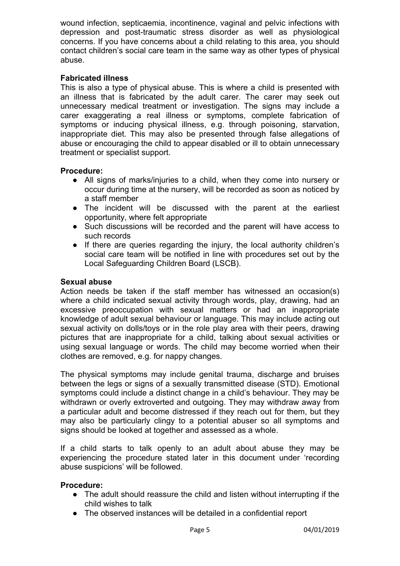wound infection, septicaemia, incontinence, vaginal and pelvic infections with depression and post-traumatic stress disorder as well as physiological concerns. If you have concerns about a child relating to this area, you should contact children's social care team in the same way as other types of physical abuse.

## **Fabricated illness**

This is also a type of physical abuse. This is where a child is presented with an illness that is fabricated by the adult carer. The carer may seek out unnecessary medical treatment or investigation. The signs may include a carer exaggerating a real illness or symptoms, complete fabrication of symptoms or inducing physical illness, e.g. through poisoning, starvation, inappropriate diet. This may also be presented through false allegations of abuse or encouraging the child to appear disabled or ill to obtain unnecessary treatment or specialist support.

## **Procedure:**

- All signs of marks/injuries to a child, when they come into nursery or occur during time at the nursery, will be recorded as soon as noticed by a staff member
- The incident will be discussed with the parent at the earliest opportunity, where felt appropriate
- Such discussions will be recorded and the parent will have access to such records
- If there are queries regarding the injury, the local authority children's social care team will be notified in line with procedures set out by the Local Safeguarding Children Board (LSCB).

## **Sexual abuse**

Action needs be taken if the staff member has witnessed an occasion(s) where a child indicated sexual activity through words, play, drawing, had an excessive preoccupation with sexual matters or had an inappropriate knowledge of adult sexual behaviour or language. This may include acting out sexual activity on dolls/toys or in the role play area with their peers, drawing pictures that are inappropriate for a child, talking about sexual activities or using sexual language or words. The child may become worried when their clothes are removed, e.g. for nappy changes.

The physical symptoms may include genital trauma, discharge and bruises between the legs or signs of a sexually transmitted disease (STD). Emotional symptoms could include a distinct change in a child's behaviour. They may be withdrawn or overly extroverted and outgoing. They may withdraw away from a particular adult and become distressed if they reach out for them, but they may also be particularly clingy to a potential abuser so all symptoms and signs should be looked at together and assessed as a whole.

If a child starts to talk openly to an adult about abuse they may be experiencing the procedure stated later in this document under 'recording abuse suspicions' will be followed.

## **Procedure:**

- The adult should reassure the child and listen without interrupting if the child wishes to talk
- The observed instances will be detailed in a confidential report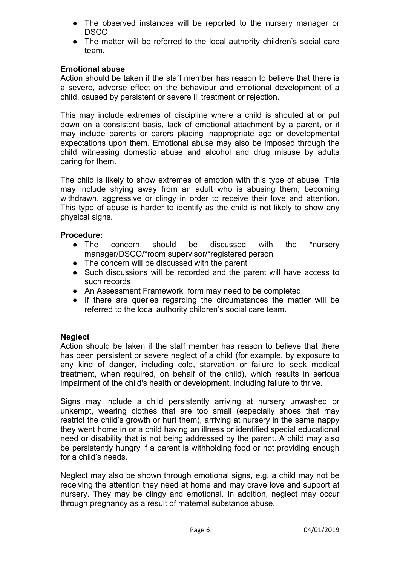- The observed instances will be reported to the nursery manager or DSCO
- The matter will be referred to the local authority children's social care team.

## **Emotional abuse**

Action should be taken if the staff member has reason to believe that there is a severe, adverse effect on the behaviour and emotional development of a child, caused by persistent or severe ill treatment or rejection.

This may include extremes of discipline where a child is shouted at or put down on a consistent basis, lack of emotional attachment by a parent, or it may include parents or carers placing inappropriate age or developmental expectations upon them. Emotional abuse may also be imposed through the child witnessing domestic abuse and alcohol and drug misuse by adults caring for them.

The child is likely to show extremes of emotion with this type of abuse. This may include shying away from an adult who is abusing them, becoming withdrawn, aggressive or clingy in order to receive their love and attention. This type of abuse is harder to identify as the child is not likely to show any physical signs.

## **Procedure:**

- The concern should be discussed with the \*nursery manager/DSCO/\*room supervisor/\*registered person
- The concern will be discussed with the parent
- Such discussions will be recorded and the parent will have access to such records
- An Assessment Framework form may need to be completed
- If there are queries regarding the circumstances the matter will be referred to the local authority children's social care team.

## **Neglect**

Action should be taken if the staff member has reason to believe that there has been persistent or severe neglect of a child (for example, by exposure to any kind of danger, including cold, starvation or failure to seek medical treatment, when required, on behalf of the child), which results in serious impairment of the child's health or development, including failure to thrive.

Signs may include a child persistently arriving at nursery unwashed or unkempt, wearing clothes that are too small (especially shoes that may restrict the child's growth or hurt them), arriving at nursery in the same nappy they went home in or a child having an illness or identified special educational need or disability that is not being addressed by the parent. A child may also be persistently hungry if a parent is withholding food or not providing enough for a child's needs.

Neglect may also be shown through emotional signs, e.g. a child may not be receiving the attention they need at home and may crave love and support at nursery. They may be clingy and emotional. In addition, neglect may occur through pregnancy as a result of maternal substance abuse.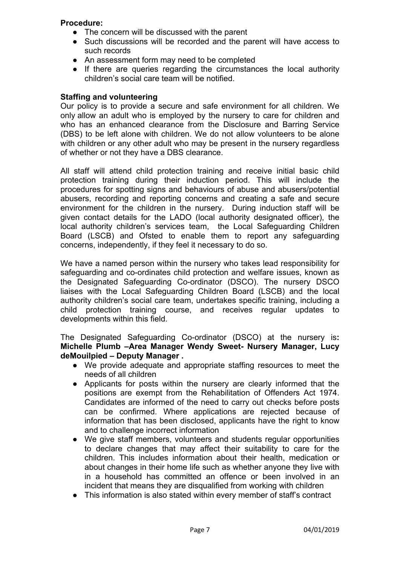## **Procedure:**

- The concern will be discussed with the parent
- Such discussions will be recorded and the parent will have access to such records
- An assessment form may need to be completed
- If there are queries regarding the circumstances the local authority children's social care team will be notified.

## **Staffing and volunteering**

Our policy is to provide a secure and safe environment for all children. We only allow an adult who is employed by the nursery to care for children and who has an enhanced clearance from the Disclosure and Barring Service (DBS) to be left alone with children. We do not allow volunteers to be alone with children or any other adult who may be present in the nursery regardless of whether or not they have a DBS clearance.

All staff will attend child protection training and receive initial basic child protection training during their induction period. This will include the procedures for spotting signs and behaviours of abuse and abusers/potential abusers, recording and reporting concerns and creating a safe and secure environment for the children in the nursery. During induction staff will be given contact details for the LADO (local authority designated officer), the local authority children's services team, the Local Safeguarding Children Board (LSCB) and Ofsted to enable them to report any safeguarding concerns, independently, if they feel it necessary to do so.

We have a named person within the nursery who takes lead responsibility for safeguarding and co-ordinates child protection and welfare issues, known as the Designated Safeguarding Co-ordinator (DSCO). The nursery DSCO liaises with the Local Safeguarding Children Board (LSCB) and the local authority children's social care team, undertakes specific training, including a child protection training course, and receives regular updates to developments within this field.

The Designated Safeguarding Co-ordinator (DSCO) at the nursery is**: Michelle Plumb –Area Manager Wendy Sweet- Nursery Manager, Lucy deMouilpied – Deputy Manager .**

- We provide adequate and appropriate staffing resources to meet the needs of all children
- Applicants for posts within the nursery are clearly informed that the positions are exempt from the Rehabilitation of Offenders Act 1974. Candidates are informed of the need to carry out checks before posts can be confirmed. Where applications are rejected because of information that has been disclosed, applicants have the right to know and to challenge incorrect information
- We give staff members, volunteers and students regular opportunities to declare changes that may affect their suitability to care for the children. This includes information about their health, medication or about changes in their home life such as whether anyone they live with in a household has committed an offence or been involved in an incident that means they are disqualified from working with children
- This information is also stated within every member of staff's contract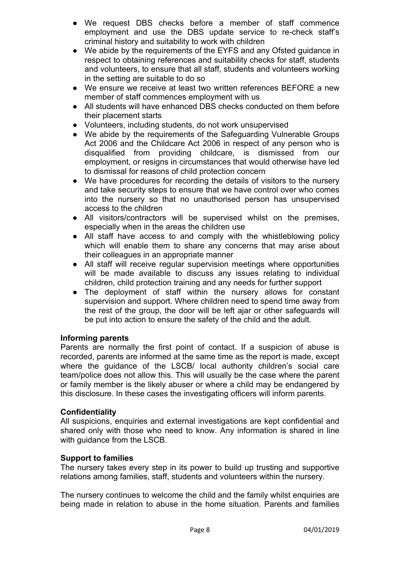- We request DBS checks before a member of staff commence employment and use the DBS update service to re-check staff's criminal history and suitability to work with children
- We abide by the requirements of the EYFS and any Ofsted quidance in respect to obtaining references and suitability checks for staff, students and volunteers, to ensure that all staff, students and volunteers working in the setting are suitable to do so
- We ensure we receive at least two written references BEFORE a new member of staff commences employment with us
- All students will have enhanced DBS checks conducted on them before their placement starts
- Volunteers, including students, do not work unsupervised
- We abide by the requirements of the Safeguarding Vulnerable Groups Act 2006 and the Childcare Act 2006 in respect of any person who is disqualified from providing childcare, is dismissed from our employment, or resigns in circumstances that would otherwise have led to dismissal for reasons of child protection concern
- We have procedures for recording the details of visitors to the nursery and take security steps to ensure that we have control over who comes into the nursery so that no unauthorised person has unsupervised access to the children
- All visitors/contractors will be supervised whilst on the premises, especially when in the areas the children use
- All staff have access to and comply with the whistleblowing policy which will enable them to share any concerns that may arise about their colleagues in an appropriate manner
- All staff will receive regular supervision meetings where opportunities will be made available to discuss any issues relating to individual children, child protection training and any needs for further support
- The deployment of staff within the nursery allows for constant supervision and support. Where children need to spend time away from the rest of the group, the door will be left ajar or other safeguards will be put into action to ensure the safety of the child and the adult.

## **Informing parents**

Parents are normally the first point of contact. If a suspicion of abuse is recorded, parents are informed at the same time as the report is made, except where the guidance of the LSCB/ local authority children's social care team/police does not allow this. This will usually be the case where the parent or family member is the likely abuser or where a child may be endangered by this disclosure. In these cases the investigating officers will inform parents.

## **Confidentiality**

All suspicions, enquiries and external investigations are kept confidential and shared only with those who need to know. Any information is shared in line with quidance from the LSCB.

## **Support to families**

The nursery takes every step in its power to build up trusting and supportive relations among families, staff, students and volunteers within the nursery.

The nursery continues to welcome the child and the family whilst enquiries are being made in relation to abuse in the home situation. Parents and families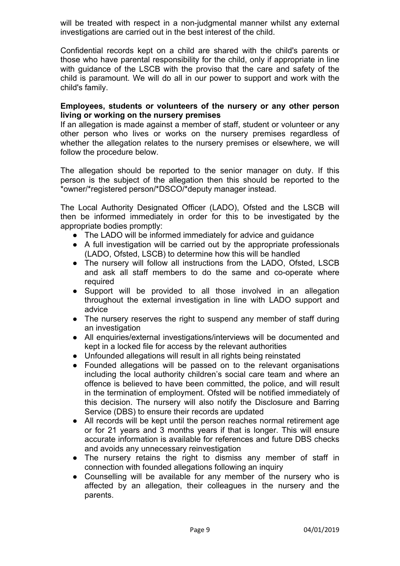will be treated with respect in a non-judgmental manner whilst any external investigations are carried out in the best interest of the child.

Confidential records kept on a child are shared with the child's parents or those who have parental responsibility for the child, only if appropriate in line with guidance of the LSCB with the proviso that the care and safety of the child is paramount. We will do all in our power to support and work with the child's family.

#### **Employees, students or volunteers of the nursery or any other person living or working on the nursery premises**

If an allegation is made against a member of staff, student or volunteer or any other person who lives or works on the nursery premises regardless of whether the allegation relates to the nursery premises or elsewhere, we will follow the procedure below.

The allegation should be reported to the senior manager on duty. If this person is the subject of the allegation then this should be reported to the \*owner/\*registered person/\*DSCO/\*deputy manager instead.

The Local Authority Designated Officer (LADO), Ofsted and the LSCB will then be informed immediately in order for this to be investigated by the appropriate bodies promptly:

- The LADO will be informed immediately for advice and quidance
- A full investigation will be carried out by the appropriate professionals (LADO, Ofsted, LSCB) to determine how this will be handled
- The nursery will follow all instructions from the LADO, Ofsted, LSCB and ask all staff members to do the same and co-operate where required
- Support will be provided to all those involved in an allegation throughout the external investigation in line with LADO support and advice
- The nursery reserves the right to suspend any member of staff during an investigation
- All enquiries/external investigations/interviews will be documented and kept in a locked file for access by the relevant authorities
- Unfounded allegations will result in all rights being reinstated
- Founded allegations will be passed on to the relevant organisations including the local authority children's social care team and where an offence is believed to have been committed, the police, and will result in the termination of employment. Ofsted will be notified immediately of this decision. The nursery will also notify the Disclosure and Barring Service (DBS) to ensure their records are updated
- All records will be kept until the person reaches normal retirement age or for 21 years and 3 months years if that is longer. This will ensure accurate information is available for references and future DBS checks and avoids any unnecessary reinvestigation
- The nursery retains the right to dismiss any member of staff in connection with founded allegations following an inquiry
- Counselling will be available for any member of the nursery who is affected by an allegation, their colleagues in the nursery and the parents.